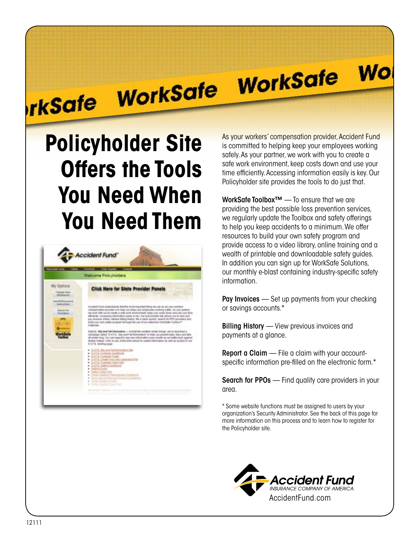# **WorkSafe**

**Wo** 

## **Policyholder Site Offers the Tools You Need When You Need Them**

rkSafe WorkSafe



As your workers' compensation provider, Accident Fund is committed to helping keep your employees working safely. As your partner, we work with you to create a safe work environment, keep costs down and use your time efficiently. Accessing information easily is key. Our Policyholder site provides the tools to do just that.

WorkSafe Toolbox™ — To ensure that we are providing the best possible loss prevention services, we regularly update the Toolbox and safety offerings to help you keep accidents to a minimum. We offer resources to build your own safety program and provide access to a video library, online training and a wealth of printable and downloadable safety guides. In addition you can sign up for WorkSafe Solutions, our monthly e-blast containing industry-specific safety information.

Pay Invoices — Set up payments from your checking or savings accounts.\*

**Billing History** — View previous invoices and payments at a glance.

Report a Claim — File a claim with your accountspecific information pre-filled on the electronic form.\*

Search for PPOs — Find quality care providers in your area.

\* Some website functions must be assigned to users by your organization's Security Administrator. See the back of this page for more information on this process and to learn how to register for the Policyholder site.